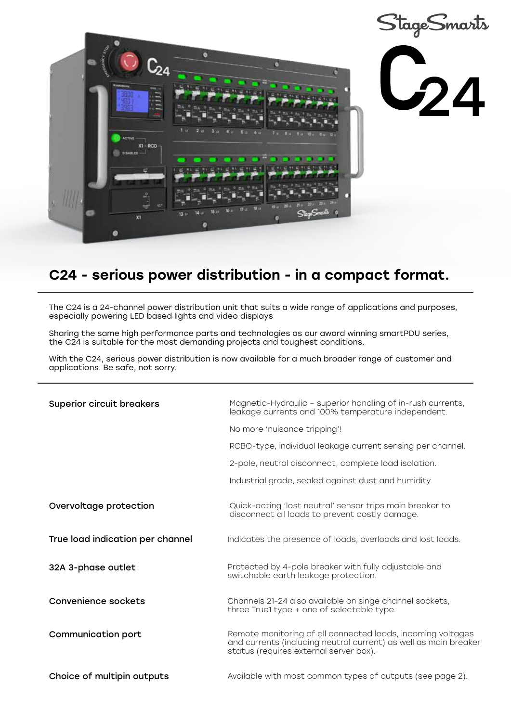

## C24 - serious power distribution - in a compact format.

The C24 is a 24-channel power distribution unit that suits a wide range of applications and purposes, especially powering LED based lights and video displays

Sharing the same high performance parts and technologies as our award winning smartPDU series, the C24 is suitable for the most demanding projects and toughest conditions.

With the C24, serious power distribution is now available for a much broader range of customer and applications. Be safe, not sorry.

| <b>Superior circuit breakers</b> | Magnetic-Hydraulic - superior handling of in-rush currents,<br>leakage currents and 100% temperature independent.                                                         |
|----------------------------------|---------------------------------------------------------------------------------------------------------------------------------------------------------------------------|
|                                  | No more 'nuisance tripping'!                                                                                                                                              |
|                                  | RCBO-type, individual leakage current sensing per channel.                                                                                                                |
|                                  | 2-pole, neutral disconnect, complete load isolation.                                                                                                                      |
|                                  | Industrial grade, sealed against dust and humidity.                                                                                                                       |
| Overvoltage protection           | Quick-acting 'lost neutral' sensor trips main breaker to<br>disconnect all loads to prevent costly damage.                                                                |
| True load indication per channel | Indicates the presence of loads, overloads and lost loads.                                                                                                                |
| 32A 3-phase outlet               | Protected by 4-pole breaker with fully adjustable and<br>switchable earth leakage protection.                                                                             |
| Convenience sockets              | Channels 21-24 also available on singe channel sockets,<br>three True1 type + one of selectable type.                                                                     |
| <b>Communication port</b>        | Remote monitoring of all connected loads, incoming voltages<br>and currents (including neutral current) as well as main breaker<br>status (requires external server box). |
| Choice of multipin outputs       | Available with most common types of outputs (see page 2).                                                                                                                 |